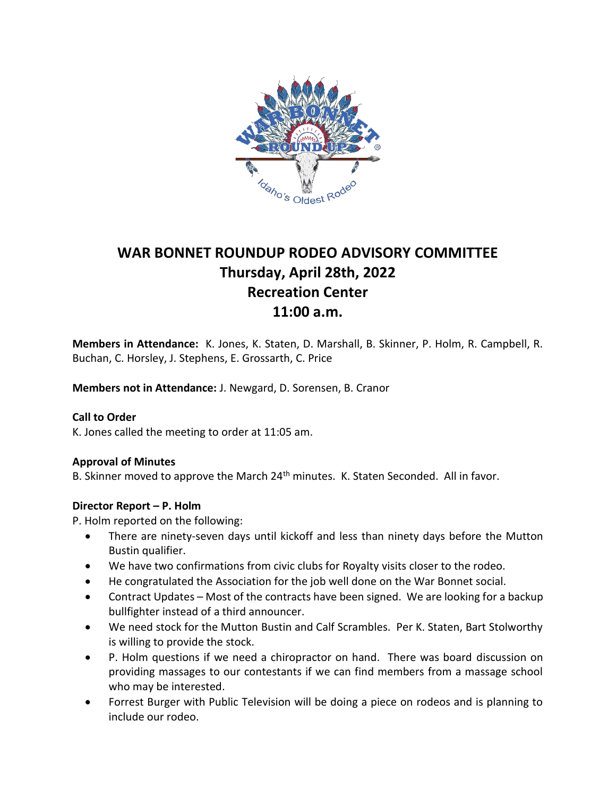

# **WAR BONNET ROUNDUP RODEO ADVISORY COMMITTEE Thursday, April 28th, 2022 Recreation Center 11:00 a.m.**

**Members in Attendance:** K. Jones, K. Staten, D. Marshall, B. Skinner, P. Holm, R. Campbell, R. Buchan, C. Horsley, J. Stephens, E. Grossarth, C. Price

**Members not in Attendance:** J. Newgard, D. Sorensen, B. Cranor

#### **Call to Order**

K. Jones called the meeting to order at 11:05 am.

#### **Approval of Minutes**

B. Skinner moved to approve the March 24<sup>th</sup> minutes. K. Staten Seconded. All in favor.

#### **Director Report – P. Holm**

P. Holm reported on the following:

- There are ninety-seven days until kickoff and less than ninety days before the Mutton Bustin qualifier.
- We have two confirmations from civic clubs for Royalty visits closer to the rodeo.
- He congratulated the Association for the job well done on the War Bonnet social.
- Contract Updates Most of the contracts have been signed. We are looking for a backup bullfighter instead of a third announcer.
- We need stock for the Mutton Bustin and Calf Scrambles. Per K. Staten, Bart Stolworthy is willing to provide the stock.
- P. Holm questions if we need a chiropractor on hand. There was board discussion on providing massages to our contestants if we can find members from a massage school who may be interested.
- Forrest Burger with Public Television will be doing a piece on rodeos and is planning to include our rodeo.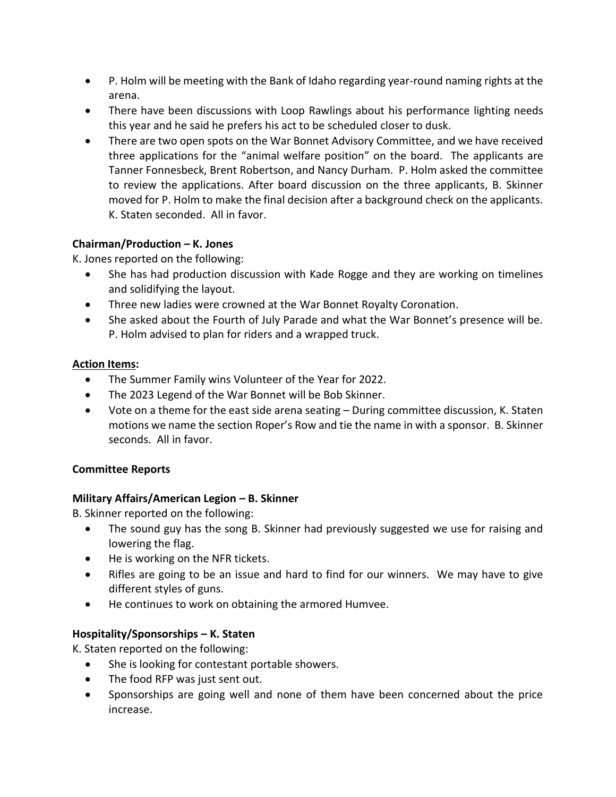- P. Holm will be meeting with the Bank of Idaho regarding year-round naming rights at the arena.
- There have been discussions with Loop Rawlings about his performance lighting needs this year and he said he prefers his act to be scheduled closer to dusk.
- There are two open spots on the War Bonnet Advisory Committee, and we have received three applications for the "animal welfare position" on the board. The applicants are Tanner Fonnesbeck, Brent Robertson, and Nancy Durham. P. Holm asked the committee to review the applications. After board discussion on the three applicants, B. Skinner moved for P. Holm to make the final decision after a background check on the applicants. K. Staten seconded. All in favor.

# **Chairman/Production – K. Jones**

K. Jones reported on the following:

- She has had production discussion with Kade Rogge and they are working on timelines and solidifying the layout.
- Three new ladies were crowned at the War Bonnet Royalty Coronation.
- She asked about the Fourth of July Parade and what the War Bonnet's presence will be. P. Holm advised to plan for riders and a wrapped truck.

## **Action Items:**

- The Summer Family wins Volunteer of the Year for 2022.
- The 2023 Legend of the War Bonnet will be Bob Skinner.
- Vote on a theme for the east side arena seating During committee discussion, K. Staten motions we name the section Roper's Row and tie the name in with a sponsor. B. Skinner seconds. All in favor.

## **Committee Reports**

## **Military Affairs/American Legion – B. Skinner**

B. Skinner reported on the following:

- The sound guy has the song B. Skinner had previously suggested we use for raising and lowering the flag.
- He is working on the NFR tickets.
- Rifles are going to be an issue and hard to find for our winners. We may have to give different styles of guns.
- He continues to work on obtaining the armored Humvee.

# **Hospitality/Sponsorships – K. Staten**

K. Staten reported on the following:

- She is looking for contestant portable showers.
- The food RFP was just sent out.
- Sponsorships are going well and none of them have been concerned about the price increase.